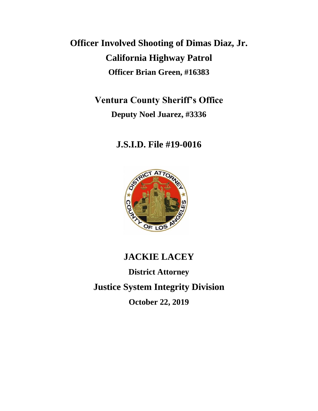# **Officer Involved Shooting of Dimas Diaz, Jr. California Highway Patrol Officer Brian Green, #16383**

**Ventura County Sheriff's Office Deputy Noel Juarez, #3336**

# **J.S.I.D. File #19-0016**



# **JACKIE LACEY**

**District Attorney Justice System Integrity Division October 22, 2019**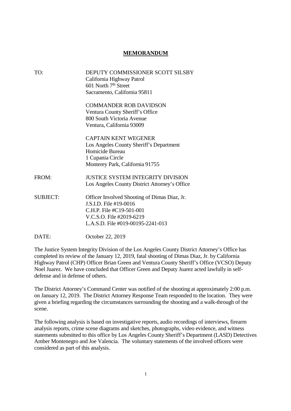#### **MEMORANDUM**

| TO:             | DEPUTY COMMISSIONER SCOTT SILSBY<br>California Highway Patrol<br>601 North $7th$ Street<br>Sacramento, California 95811                                             |
|-----------------|---------------------------------------------------------------------------------------------------------------------------------------------------------------------|
|                 | COMMANDER ROB DAVIDSON<br>Ventura County Sheriff's Office<br>800 South Victoria Avenue<br>Ventura, California 93009                                                 |
|                 | <b>CAPTAIN KENT WEGENER</b><br>Los Angeles County Sheriff's Department<br>Homicide Bureau<br>1 Cupania Circle<br>Monterey Park, California 91755                    |
| FROM:           | <b>JUSTICE SYSTEM INTEGRITY DIVISION</b><br>Los Angeles County District Attorney's Office                                                                           |
| <b>SUBJECT:</b> | Officer Involved Shooting of Dimas Diaz, Jr.<br>J.S.I.D. File #19-0016<br>C.H.P. File #C19-501-001<br>V.C.S.O. File #2019-6219<br>L.A.S.D. File #019-00195-2241-013 |

DATE: October 22, 2019

The Justice System Integrity Division of the Los Angeles County District Attorney's Office has completed its review of the January 12, 2019, fatal shooting of Dimas Diaz, Jr. by California Highway Patrol (CHP) Officer Brian Green and Ventura County Sheriff's Office (VCSO) Deputy Noel Juarez. We have concluded that Officer Green and Deputy Juarez acted lawfully in selfdefense and in defense of others.

The District Attorney's Command Center was notified of the shooting at approximately 2:00 p.m. on January 12, 2019. The District Attorney Response Team responded to the location. They were given a briefing regarding the circumstances surrounding the shooting and a walk-through of the scene.

The following analysis is based on investigative reports, audio recordings of interviews, firearm analysis reports, crime scene diagrams and sketches, photographs, video evidence, and witness statements submitted to this office by Los Angeles County Sheriff's Department (LASD) Detectives Amber Montenegro and Joe Valencia. The voluntary statements of the involved officers were considered as part of this analysis.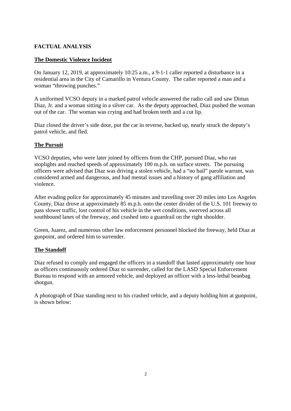# **FACTUAL ANALYSIS**

## **The Domestic Violence Incident**

On January 12, 2019, at approximately 10:25 a.m., a 9-1-1 caller reported a disturbance in a residential area in the City of Camarillo in Ventura County. The caller reported a man and a woman "throwing punches."

A uniformed VCSO deputy in a marked patrol vehicle answered the radio call and saw Dimas Diaz, Jr. and a woman sitting in a silver car. As the deputy approached, Diaz pushed the woman out of the car. The woman was crying and had broken teeth and a cut lip.

Diaz closed the driver's side door, put the car in reverse, backed up, nearly struck the deputy's patrol vehicle, and fled.

### **The Pursuit**

VCSO deputies, who were later joined by officers from the CHP, pursued Diaz, who ran stoplights and reached speeds of approximately 100 m.p.h. on surface streets. The pursuing officers were advised that Diaz was driving a stolen vehicle, had a "no bail" parole warrant, was considered armed and dangerous, and had mental issues and a history of gang affiliation and violence.

After evading police for approximately 45 minutes and travelling over 20 miles into Los Angeles County, Diaz drove at approximately 85 m.p.h. onto the center divider of the U.S. 101 freeway to pass slower traffic, lost control of his vehicle in the wet conditions, swerved across all southbound lanes of the freeway, and crashed into a guardrail on the right shoulder.

Green, Juarez, and numerous other law enforcement personnel blocked the freeway, held Diaz at gunpoint, and ordered him to surrender.

### **The Standoff**

Diaz refused to comply and engaged the officers in a standoff that lasted approximately one hour as officers continuously ordered Diaz to surrender, called for the LASD Special Enforcement Bureau to respond with an armored vehicle, and deployed an officer with a less-lethal beanbag shotgun.

A photograph of Diaz standing next to his crashed vehicle, and a deputy holding him at gunpoint, is shown below: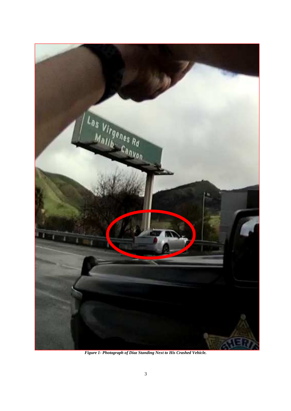

*Figure 1- Photograph of Diaz Standing Next to His Crashed Vehicle.*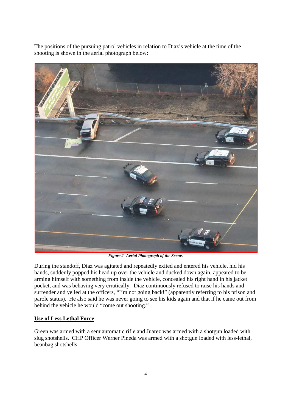The positions of the pursuing patrol vehicles in relation to Diaz's vehicle at the time of the shooting is shown in the aerial photograph below:



*Figure 2- Aerial Photograph of the Scene.*

During the standoff, Diaz was agitated and repeatedly exited and entered his vehicle, hid his hands, suddenly popped his head up over the vehicle and ducked down again, appeared to be arming himself with something from inside the vehicle, concealed his right hand in his jacket pocket, and was behaving very erratically. Diaz continuously refused to raise his hands and surrender and yelled at the officers, "I'm not going back!" (apparently referring to his prison and parole status). He also said he was never going to see his kids again and that if he came out from behind the vehicle he would "come out shooting."

# **Use of Less Lethal Force**

Green was armed with a semiautomatic rifle and Juarez was armed with a shotgun loaded with slug shotshells. CHP Officer Werner Pineda was armed with a shotgun loaded with less-lethal, beanbag shotshells.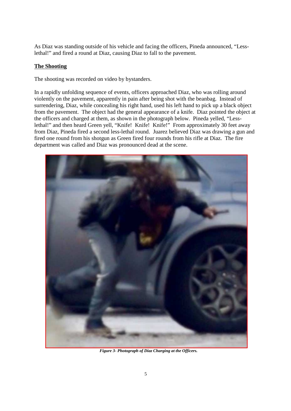As Diaz was standing outside of his vehicle and facing the officers, Pineda announced, "Lesslethal!" and fired a round at Diaz, causing Diaz to fall to the pavement.

#### **The Shooting**

The shooting was recorded on video by bystanders.

In a rapidly unfolding sequence of events, officers approached Diaz, who was rolling around violently on the pavement, apparently in pain after being shot with the beanbag. Instead of surrendering, Diaz, while concealing his right hand, used his left hand to pick up a black object from the pavement. The object had the general appearance of a knife. Diaz pointed the object at the officers and charged at them, as shown in the photograph below. Pineda yelled, "Lesslethal!" and then heard Green yell, "Knife! Knife! Knife!" From approximately 30 feet away from Diaz, Pineda fired a second less-lethal round. Juarez believed Diaz was drawing a gun and fired one round from his shotgun as Green fired four rounds from his rifle at Diaz. The fire department was called and Diaz was pronounced dead at the scene.



*Figure 3- Photograph of Diaz Charging at the Officers.*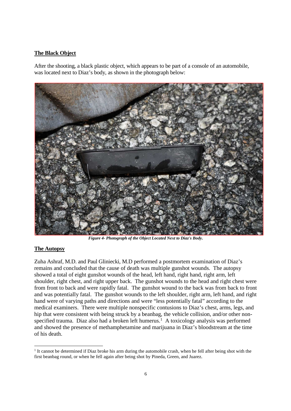#### **The Black Object**

After the shooting, a black plastic object, which appears to be part of a console of an automobile, was located next to Diaz's body, as shown in the photograph below:



*Figure 4- Photograph of the Object Located Next to Diaz's Body.*

#### **The Autopsy**

Zuha Ashraf, M.D. and Paul Gliniecki, M.D performed a postmortem examination of Diaz's remains and concluded that the cause of death was multiple gunshot wounds. The autopsy showed a total of eight gunshot wounds of the head, left hand, right hand, right arm, left shoulder, right chest, and right upper back. The gunshot wounds to the head and right chest were from front to back and were rapidly fatal. The gunshot wound to the back was from back to front and was potentially fatal. The gunshot wounds to the left shoulder, right arm, left hand, and right hand were of varying paths and directions and were "less potentially fatal" according to the medical examiners. There were multiple nonspecific contusions to Diaz's chest, arms, legs, and hip that were consistent with being struck by a beanbag, the vehicle collision, and/or other nonspecified trauma. Diaz also had a broken left humerus.<sup>1</sup> A toxicology analysis was performed and showed the presence of methamphetamine and marijuana in Diaz's bloodstream at the time of his death.

<sup>1</sup> It cannot be determined if Diaz broke his arm during the automobile crash, when he fell after being shot with the first beanbag round, or when he fell again after being shot by Pineda, Green, and Juarez.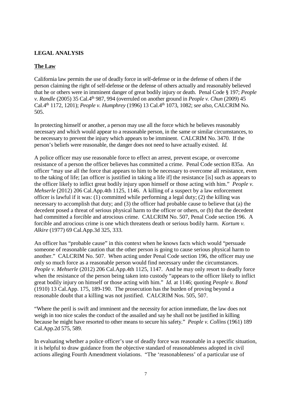#### **LEGAL ANALYSIS**

#### **The Law**

California law permits the use of deadly force in self-defense or in the defense of others if the person claiming the right of self-defense or the defense of others actually and reasonably believed that he or others were in imminent danger of great bodily injury or death. Penal Code § 197; *People v. Randle* (2005) 35 Cal.4th 987, 994 (overruled on another ground in *People v. Chun* (2009) 45 Cal.4th 1172, 1201); *People v. Humphrey* (1996) 13 Cal.4th 1073, 1082; *see also,* CALCRIM No. 505.

In protecting himself or another, a person may use all the force which he believes reasonably necessary and which would appear to a reasonable person, in the same or similar circumstances, to be necessary to prevent the injury which appears to be imminent. CALCRIM No. 3470. If the person's beliefs were reasonable, the danger does not need to have actually existed. *Id.*

A police officer may use reasonable force to effect an arrest, prevent escape, or overcome resistance of a person the officer believes has committed a crime. Penal Code section 835a. An officer "may use all the force that appears to him to be necessary to overcome all resistance, even to the taking of life; [an officer is justified in taking a life if] the resistance [is] such as appears to the officer likely to inflict great bodily injury upon himself or those acting with him." *People v. Mehserle* (2012) 206 Cal.App.4th 1125, 1146. A killing of a suspect by a law enforcement officer is lawful if it was: (1) committed while performing a legal duty; (2) the killing was necessary to accomplish that duty; and (3) the officer had probable cause to believe that (a) the decedent posed a threat of serious physical harm to the officer or others, or (b) that the decedent had committed a forcible and atrocious crime. CALCRIM No. 507, Penal Code section 196. A forcible and atrocious crime is one which threatens death or serious bodily harm. *Kortum v. Alkire* (1977) 69 Cal.App.3d 325, 333.

An officer has "probable cause" in this context when he knows facts which would "persuade someone of reasonable caution that the other person is going to cause serious physical harm to another." CALCRIM No. 507. When acting under Penal Code section 196, the officer may use only so much force as a reasonable person would find necessary under the circumstances. *People v. Mehserle* (2012) 206 Cal.App.4th 1125, 1147. And he may only resort to deadly force when the resistance of the person being taken into custody "appears to the officer likely to inflict great bodily injury on himself or those acting with him." *Id.* at 1146; quoting *People v. Bond* (1910) 13 Cal.App. 175, 189-190. The prosecution has the burden of proving beyond a reasonable doubt that a killing was not justified. CALCRIM Nos. 505, 507.

"Where the peril is swift and imminent and the necessity for action immediate, the law does not weigh in too nice scales the conduct of the assailed and say he shall not be justified in killing because he might have resorted to other means to secure his safety." *People v. Collins* (1961) 189 Cal.App.2d 575, 589.

In evaluating whether a police officer's use of deadly force was reasonable in a specific situation, it is helpful to draw guidance from the objective standard of reasonableness adopted in civil actions alleging Fourth Amendment violations. "The 'reasonableness' of a particular use of